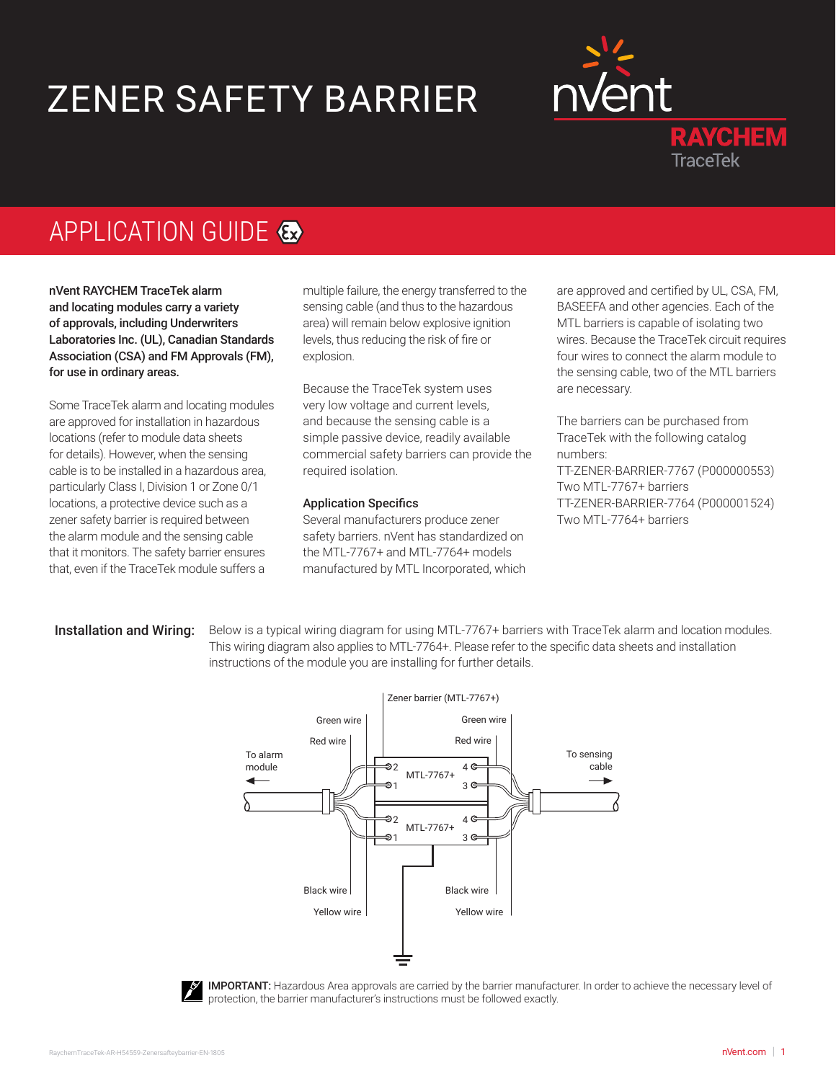# ZENER SAFETY BARRIER



## APPLICATION GUIDE

nVent RAYCHEM TraceTek alarm and locating modules carry a variety of approvals, including Underwriters Laboratories Inc. (UL), Canadian Standards Association (CSA) and FM Approvals (FM), for use in ordinary areas.

Some TraceTek alarm and locating modules are approved for installation in hazardous locations (refer to module data sheets for details). However, when the sensing cable is to be installed in a hazardous area, particularly Class I, Division 1 or Zone 0/1 locations, a protective device such as a zener safety barrier is required between the alarm module and the sensing cable that it monitors. The safety barrier ensures that, even if the TraceTek module suffers a

multiple failure, the energy transferred to the sensing cable (and thus to the hazardous area) will remain below explosive ignition levels, thus reducing the risk of fire or explosion.

Because the TraceTek system uses very low voltage and current levels, and because the sensing cable is a simple passive device, readily available commercial safety barriers can provide the required isolation.

#### Application Specifics

Several manufacturers produce zener safety barriers. nVent has standardized on the MTL-7767+ and MTL-7764+ models manufactured by MTL Incorporated, which are approved and certified by UL, CSA, FM, BASEEFA and other agencies. Each of the MTL barriers is capable of isolating two wires. Because the TraceTek circuit requires four wires to connect the alarm module to the sensing cable, two of the MTL barriers are necessary.

The barriers can be purchased from TraceTek with the following catalog numbers: TT-ZENER-BARRIER-7767 (P000000553) Two MTL-7767+ barriers TT-ZENER-BARRIER-7764 (P000001524) Two MTL-7764+ barriers

Installation and Wiring: Below is a typical wiring diagram for using MTL-7767+ barriers with TraceTek alarm and location modules. This wiring diagram also applies to MTL-7764+. Please refer to the specific data sheets and installation instructions of the module you are installing for further details.





IMPORTANT: Hazardous Area approvals are carried by the barrier manufacturer. In order to achieve the necessary level of protection, the barrier manufacturer's instructions must be followed exactly.